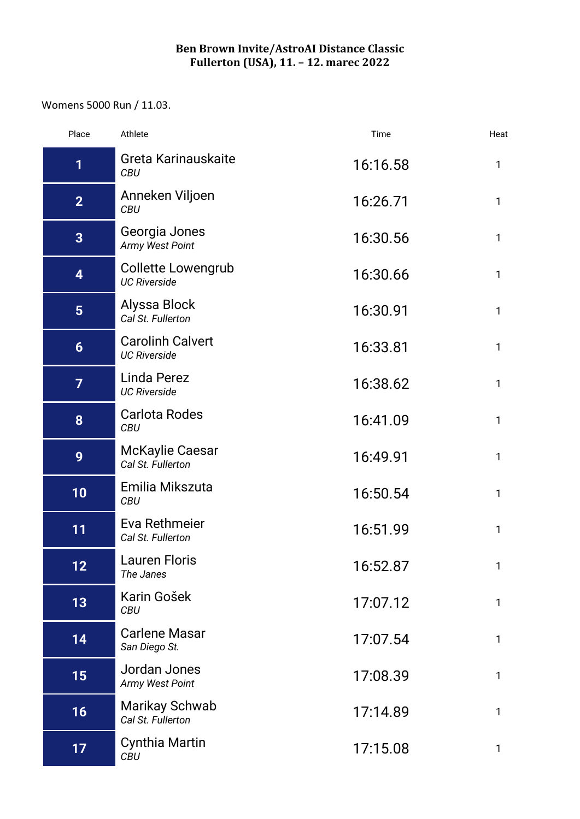## **Ben Brown Invite/AstroAI Distance Classic Fullerton (USA), 11. – 12. marec 2022**

## Womens 5000 Run / 11.03.

| Place             | Athlete                                        | Time     | Heat         |
|-------------------|------------------------------------------------|----------|--------------|
| 1                 | Greta Karinauskaite<br><b>CBU</b>              | 16:16.58 | 1            |
| 2 <sub>2</sub>    | Anneken Viljoen<br><b>CBU</b>                  | 16:26.71 | $\mathbf{1}$ |
| $\overline{3}$    | Georgia Jones<br>Army West Point               | 16:30.56 | $\mathbf{1}$ |
| 4                 | Collette Lowengrub<br><b>UC Riverside</b>      | 16:30.66 | 1            |
| $5\overline{)}$   | Alyssa Block<br>Cal St. Fullerton              | 16:30.91 | 1            |
| $6\phantom{1}$    | <b>Carolinh Calvert</b><br><b>UC Riverside</b> | 16:33.81 | $\mathbf{1}$ |
| $\overline{7}$    | Linda Perez<br><b>UC Riverside</b>             | 16:38.62 | $\mathbf{1}$ |
| 8                 | <b>Carlota Rodes</b><br><b>CBU</b>             | 16:41.09 | 1            |
| 9                 | <b>McKaylie Caesar</b><br>Cal St. Fullerton    | 16:49.91 | 1            |
| 10                | Emilia Mikszuta<br><b>CBU</b>                  | 16:50.54 | $\mathbf{1}$ |
| 11                | Eva Rethmeier<br>Cal St. Fullerton             | 16:51.99 | 1            |
| $12 \overline{ }$ | <b>Lauren Floris</b><br>The Janes              | 16:52.87 | 1            |
| 13                | Karin Gošek<br><b>CBU</b>                      | 17:07.12 | 1            |
| 14                | <b>Carlene Masar</b><br>San Diego St.          | 17:07.54 | $\mathbf{1}$ |
| 15                | Jordan Jones<br>Army West Point                | 17:08.39 | $\mathbf{1}$ |
| 16                | <b>Marikay Schwab</b><br>Cal St. Fullerton     | 17:14.89 | 1            |
| 17                | <b>Cynthia Martin</b><br><b>CBU</b>            | 17:15.08 | 1            |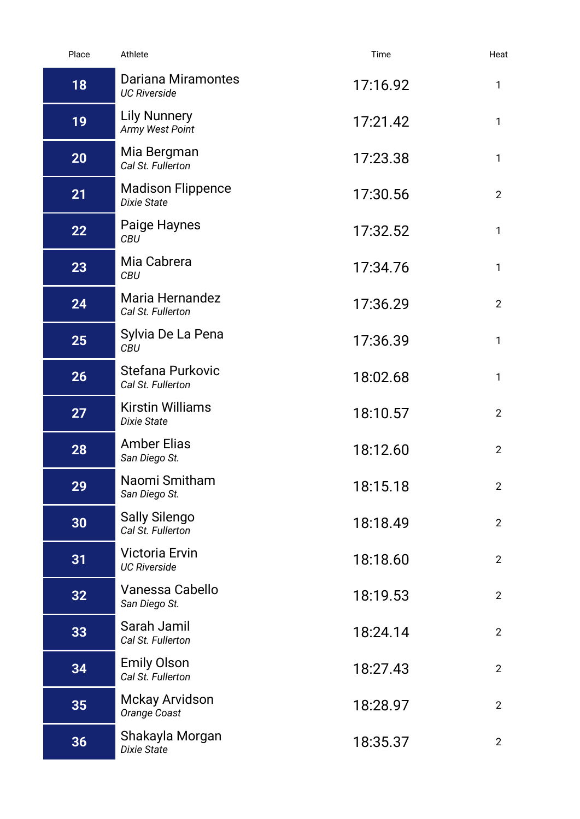| Place | Athlete                                        | Time     | Heat                  |
|-------|------------------------------------------------|----------|-----------------------|
| 18    | Dariana Miramontes<br><b>UC Riverside</b>      | 17:16.92 | 1                     |
| 19    | <b>Lily Nunnery</b><br>Army West Point         | 17:21.42 | $\mathbf{1}$          |
| 20    | Mia Bergman<br>Cal St. Fullerton               | 17:23.38 | $\mathbf{1}$          |
| 21    | <b>Madison Flippence</b><br><b>Dixie State</b> | 17:30.56 | $2^{\circ}$           |
| 22    | Paige Haynes<br><b>CBU</b>                     | 17:32.52 | $\mathbf{1}$          |
| 23    | Mia Cabrera<br><b>CBU</b>                      | 17:34.76 | $\mathbf{1}$          |
| 24    | Maria Hernandez<br>Cal St. Fullerton           | 17:36.29 | $\overline{2}$        |
| 25    | Sylvia De La Pena<br><b>CBU</b>                | 17:36.39 | 1                     |
| 26    | Stefana Purkovic<br>Cal St. Fullerton          | 18:02.68 | $\mathbf{1}$          |
| 27    | <b>Kirstin Williams</b><br><b>Dixie State</b>  | 18:10.57 | $\overline{2}$        |
| 28    | <b>Amber Elias</b><br>San Diego St.            | 18:12.60 | $\overline{2}$        |
| 29    | Naomi Smitham<br>San Diego St.                 | 18:15.18 | $\mathbf{2}^{\prime}$ |
| 30    | <b>Sally Silengo</b><br>Cal St. Fullerton      | 18:18.49 | $2^{\circ}$           |
| 31    | <b>Victoria Ervin</b><br><b>UC Riverside</b>   | 18:18.60 | $\overline{2}$        |
| 32    | Vanessa Cabello<br>San Diego St.               | 18:19.53 | $\overline{2}$        |
| 33    | Sarah Jamil<br>Cal St. Fullerton               | 18:24.14 | $2^{\circ}$           |
| 34    | <b>Emily Olson</b><br>Cal St. Fullerton        | 18:27.43 | $\overline{2}$        |
| 35    | <b>Mckay Arvidson</b><br>Orange Coast          | 18:28.97 | $\overline{2}$        |
| 36    | Shakayla Morgan<br><b>Dixie State</b>          | 18:35.37 | $\overline{2}$        |
|       |                                                |          |                       |